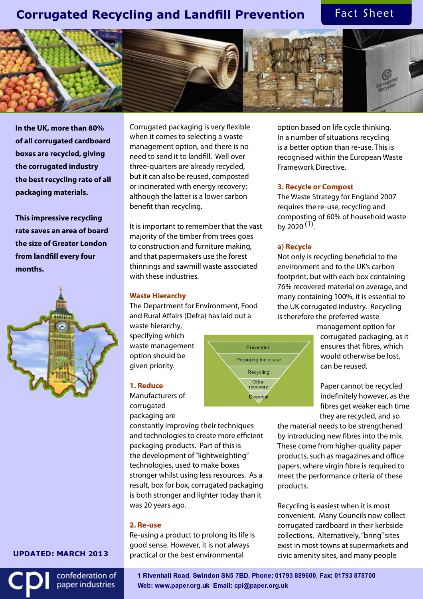# **Corrugated Recycling and Landfill Prevention**

Fact Sheet



**In the UK, more than 80% of all corrugated cardboard boxes are recycled, giving the corrugated industry the best recycling rate of all packaging materials.** 

**This impressive recycling rate saves an area of board the size of Greater London**  from landfill every four **months.** 



( ) \* <sup>+</sup> , - \* . / <sup>+</sup> <sup>0</sup> <sup>1</sup> <sup>2</sup> <sup>3</sup> <sup>4</sup> <sup>5</sup> <sup>6</sup>

confederation of paper industries

Corrugated packaging is very flexible when it comes to selecting a waste management option, and there is no need to send it to landfill. Well over three-quarters are already recycled, but it can also be reused, composted or incinerated with energy recovery; although the latter is a lower carbon benefit than recycling.

It is important to remember that the vast majority of the timber from trees goes to construction and furniture making, and that papermakers use the forest thinnings and sawmill waste associated with these industries.

#### **Waste Hierarchy**

The Department for Environment, Food and Rural Affairs (Defra) has laid out a

waste hierarchy, specifying which waste management option should be given priority.

### **1. Reduce**

Manufacturers of corrugated packaging are

constantly improving their techniques and technologies to create more efficient packaging products. Part of this is the development of "lightweighting" technologies, used to make boxes stronger whilst using less resources. As a result, box for box, corrugated packaging is both stronger and lighter today than it was 20 years ago.

### **2. Re-use**

Re-using a product to prolong its life is good sense. However, it is not always practical or the best environmental

option based on life cycle thinking. In a number of situations recycling is a better option than re-use. This is recognised within the European Waste Framework Directive.

#### **3. Recycle or Compost**

The Waste Strategy for England 2007 requires the re-use, recycling and composting of 60% of household waste by 2020 <sup>(1)</sup>.

#### **a) Recycle**

Not only is recycling beneficial to the environment and to the UK's carbon footprint, but with each box containing 76% recovered material on average, and many containing 100%, it is essential to the UK corrugated industry. Recycling is therefore the preferred waste

> management option for corrugated packaging, as it ensures that fibres, which would otherwise be lost, can be reused.

Paper cannot be recycled indefinitely however, as the fibres get weaker each time they are recycled, and so

the material needs to be strengthened by introducing new fibres into the mix. These come from higher quality paper products, such as magazines and office papers, where virgin fibre is required to meet the performance criteria of these products.

Recycling is easiest when it is most convenient. Many Councils now collect corrugated cardboard in their kerbside collections. Alternatively, "bring" sites exist in most towns at supermarkets and civic amenity sites, and many people

 -  -  Web: www.paper.org.uk Email: cpi@paper.org.u

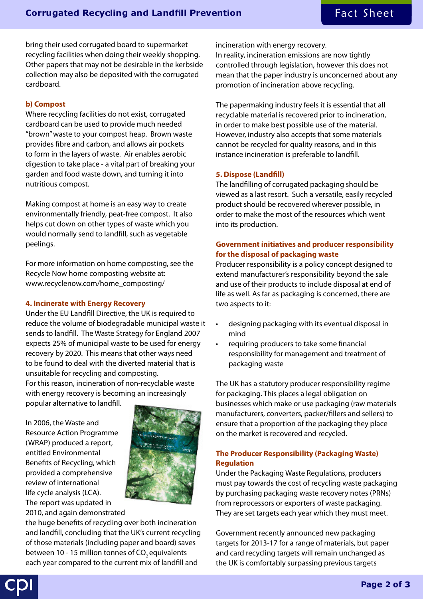bring their used corrugated board to supermarket recycling facilities when doing their weekly shopping. Other papers that may not be desirable in the kerbside collection may also be deposited with the corrugated cardboard.

# **b) Compost**

Where recycling facilities do not exist, corrugated cardboard can be used to provide much needed "brown" waste to your compost heap. Brown waste provides fibre and carbon, and allows air pockets to form in the layers of waste. Air enables aerobic digestion to take place - a vital part of breaking your garden and food waste down, and turning it into nutritious compost.

Making compost at home is an easy way to create environmentally friendly, peat-free compost. It also helps cut down on other types of waste which you would normally send to landfill, such as vegetable peelings.

For more information on home composting, see the Recycle Now home composting website at: www.recyclenow.com/home\_composting/

### **4. Incinerate with Energy Recovery**

Under the EU Land fill Directive, the UK is required to reduce the volume of biodegradable municipal waste it sends to land fill. The Waste Strategy for England 2007 expects 25% of municipal waste to be used for energy recovery by 2020. This means that other ways need to be found to deal with the diverted material that is unsuitable for recycling and composting.

For this reason, incineration of non-recyclable waste with energy recovery is becoming an increasingly popular alternative to landfill.

In 2006, the Waste and Resource Action Programme (WRAP) produced a report, entitled Environmental Benefits of Recycling, which provided a comprehensive review of international life cycle analysis (LCA). The report was updated in 2010, and again demonstrated



the huge benefits of recycling over both incineration and landfill, concluding that the UK's current recycling of those materials (including paper and board) saves between 10 - 15 million tonnes of  $CO$ , equivalents each year compared to the current mix of landfill and

incineration with energy recovery.

In reality, incineration emissions are now tightly controlled through legislation, however this does not mean that the paper industry is unconcerned about any promotion of incineration above recycling.

The papermaking industry feels it is essential that all recyclable material is recovered prior to incineration, in order to make best possible use of the material. However, industry also accepts that some materials cannot be recycled for quality reasons, and in this instance incineration is preferable to landfill.

### **5. Dispose (Landfill)**

The land filling of corrugated packaging should be viewed as a last resort. Such a versatile, easily recycled product should be recovered wherever possible, in order to make the most of the resources which went into its production.

# **Government initiatives and producer responsibility for the disposal of packaging waste**

Producer responsibility is a policy concept designed to extend manufacturer's responsibility beyond the sale and use of their products to include disposal at end of life as well. As far as packaging is concerned, there are two aspects to it:

- designing packaging with its eventual disposal in mind
- requiring producers to take some financial responsibility for management and treatment of packaging waste

The UK has a statutory producer responsibility regime for packaging. This places a legal obligation on businesses which make or use packaging (raw materials manufacturers, converters, packer/fillers and sellers) to ensure that a proportion of the packaging they place on the market is recovered and recycled.

# **The Producer Responsibility (Packaging Waste) Regulation**

Under the Packaging Waste Regulations, producers must pay towards the cost of recycling waste packaging by purchasing packaging waste recovery notes (PRNs) from reprocessors or exporters of waste packaging. They are set targets each year which they must meet.

Government recently announced new packaging targets for 2013-17 for a range of materials, but paper and card recycling targets will remain unchanged as the UK is comfortably surpassing previous targets